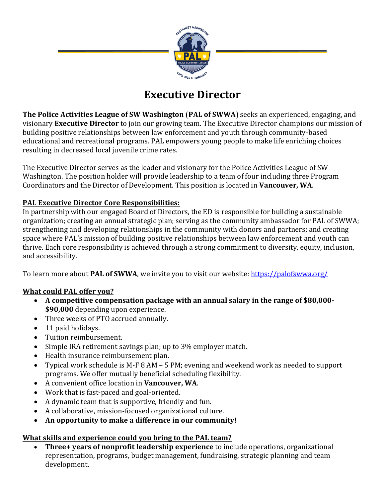

# **Executive Director**

**The Police Activities League of SW Washington** (**PAL of SWWA**) seeks an experienced, engaging, and visionary **Executive Director** to join our growing team. The Executive Director champions our mission of building positive relationships between law enforcement and youth through community-based educational and recreational programs. PAL empowers young people to make life enriching choices resulting in decreased local juvenile crime rates.

The Executive Director serves as the leader and visionary for the Police Activities League of SW Washington. The position holder will provide leadership to a team of four including three Program Coordinators and the Director of Development. This position is located in **Vancouver, WA**.

#### **PAL Executive Director Core Responsibilities:**

In partnership with our engaged Board of Directors, the ED is responsible for building a sustainable organization; creating an annual strategic plan; serving as the community ambassador for PAL of SWWA; strengthening and developing relationships in the community with donors and partners; and creating space where PAL's mission of building positive relationships between law enforcement and youth can thrive. Each core responsibility is achieved through a strong commitment to diversity, equity, inclusion, and accessibility.

To learn more about **PAL of SWWA**, we invite you to visit our website:<https://palofswwa.org/>

## **What could PAL offer you?**

- **A competitive compensation package with an annual salary in the range of \$80,000- \$90,000** depending upon experience.
- Three weeks of PTO accrued annually.
- 11 paid holidays.
- Tuition reimbursement.
- Simple IRA retirement savings plan; up to 3% employer match.
- Health insurance reimbursement plan.
- Typical work schedule is M-F 8 AM 5 PM; evening and weekend work as needed to support programs. We offer mutually beneficial scheduling flexibility.
- A convenient office location in **Vancouver, WA**.
- Work that is fast-paced and goal-oriented.
- A dynamic team that is supportive, friendly and fun.
- A collaborative, mission-focused organizational culture.
- **An opportunity to make a difference in our community!**

## **What skills and experience could you bring to the PAL team?**

• **Three+ years of nonprofit leadership experience** to include operations, organizational representation, programs, budget management, fundraising, strategic planning and team development.